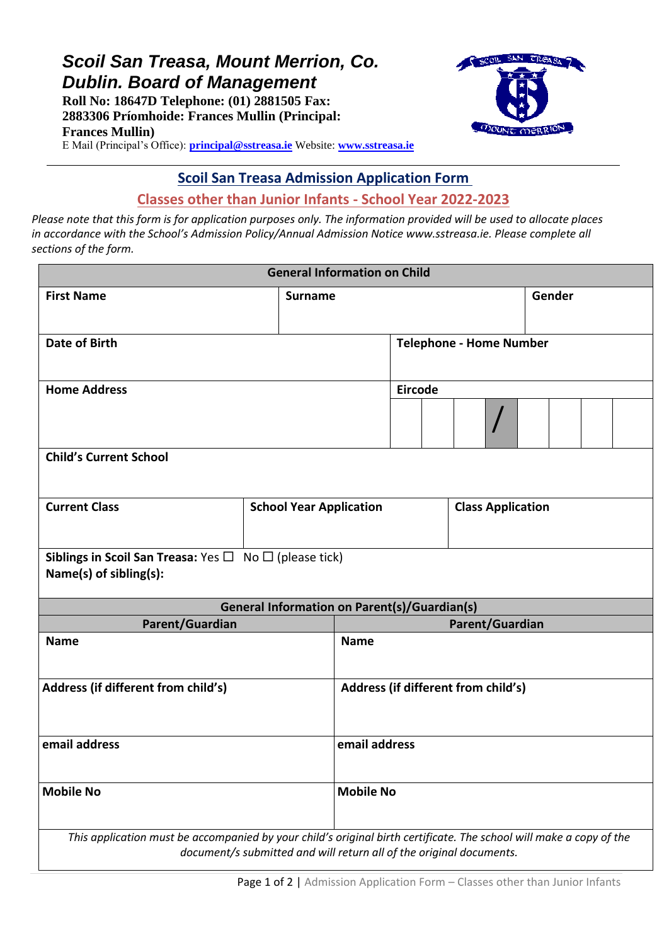# *Scoil San Treasa, Mount Merrion, Co. Dublin. Board of Management*

**Roll No: 18647D Telephone: (01) 2881505 Fax: 2883306 Príomhoide: Frances Mullin (Principal: Frances Mullin)**



E Mail (Principal's Office): **[principal@sstreasa.ie](mailto:principal@sstreasa.ie)** Website: **[www.sstreasa.ie](http://www.sstreasa.ie/)**

## **Scoil San Treasa Admission Application Form**

## **Classes other than Junior Infants - School Year 2022-2023**

*Please note that this form is for application purposes only. The information provided will be used to allocate places in accordance with the School's Admission Policy/Annual Admission Notice www.sstreasa.ie. Please complete all sections of the form.*

| <b>General Information on Child</b>                                                                                 |                                |                 |                                     |                                |                                                                     |                          |  |  |  |
|---------------------------------------------------------------------------------------------------------------------|--------------------------------|-----------------|-------------------------------------|--------------------------------|---------------------------------------------------------------------|--------------------------|--|--|--|
| <b>First Name</b>                                                                                                   | <b>Surname</b>                 |                 |                                     |                                | Gender                                                              |                          |  |  |  |
| <b>Date of Birth</b>                                                                                                |                                |                 |                                     | <b>Telephone - Home Number</b> |                                                                     |                          |  |  |  |
| <b>Home Address</b>                                                                                                 |                                |                 |                                     | Eircode                        |                                                                     |                          |  |  |  |
|                                                                                                                     |                                |                 |                                     |                                |                                                                     |                          |  |  |  |
| <b>Child's Current School</b>                                                                                       |                                |                 |                                     |                                |                                                                     |                          |  |  |  |
| <b>Current Class</b>                                                                                                | <b>School Year Application</b> |                 |                                     |                                |                                                                     | <b>Class Application</b> |  |  |  |
| Siblings in Scoil San Treasa: Yes $\Box$ No $\Box$ (please tick)<br>Name(s) of sibling(s):                          |                                |                 |                                     |                                |                                                                     |                          |  |  |  |
| <b>General Information on Parent(s)/Guardian(s)</b>                                                                 |                                |                 |                                     |                                |                                                                     |                          |  |  |  |
| Parent/Guardian                                                                                                     |                                | Parent/Guardian |                                     |                                |                                                                     |                          |  |  |  |
| <b>Name</b>                                                                                                         |                                |                 | <b>Name</b>                         |                                |                                                                     |                          |  |  |  |
| Address (if different from child's)                                                                                 |                                |                 | Address (if different from child's) |                                |                                                                     |                          |  |  |  |
| email address                                                                                                       |                                | email address   |                                     |                                |                                                                     |                          |  |  |  |
| <b>Mobile No</b>                                                                                                    |                                |                 | <b>Mobile No</b>                    |                                |                                                                     |                          |  |  |  |
| This application must be accompanied by your child's original birth certificate. The school will make a copy of the |                                |                 |                                     |                                | document/s submitted and will return all of the original documents. |                          |  |  |  |